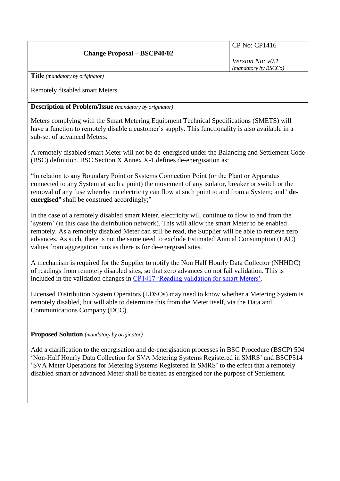## **Change Proposal – BSCP40/02**

CP No: CP1416

*Version No: v0.1 (mandatory by BSCCo)*

**Title** *(mandatory by originator)*

Remotely disabled smart Meters

**Description of Problem/Issue** *(mandatory by originator)*

Meters complying with the Smart Metering Equipment Technical Specifications (SMETS) will have a function to remotely disable a customer's supply. This functionality is also available in a sub-set of advanced Meters.

A remotely disabled smart Meter will not be de-energised under the Balancing and Settlement Code (BSC) definition. BSC Section X Annex X-1 defines de-energisation as:

"in relation to any Boundary Point or Systems Connection Point (or the Plant or Apparatus connected to any System at such a point) the movement of any isolator, breaker or switch or the removal of any fuse whereby no electricity can flow at such point to and from a System; and "**deenergised**" shall be construed accordingly;"

In the case of a remotely disabled smart Meter, electricity will continue to flow to and from the 'system' (in this case the distribution network). This will allow the smart Meter to be enabled remotely. As a remotely disabled Meter can still be read, the Supplier will be able to retrieve zero advances. As such, there is not the same need to exclude Estimated Annual Consumption (EAC) values from aggregation runs as there is for de-energised sites.

A mechanism is required for the Supplier to notify the Non Half Hourly Data Collector (NHHDC) of readings from remotely disabled sites, so that zero advances do not fail validation. This is included in the validation changes in [CP1417 'Reading validation for smart Meters'.](http://www.elexon.co.uk/change-proposal/cp1417/)

Licensed Distribution System Operators (LDSOs) may need to know whether a Metering System is remotely disabled, but will able to determine this from the Meter itself, via the Data and Communications Company (DCC).

## **Proposed Solution** *(mandatory by originator)*

Add a clarification to the energisation and de-energisation processes in BSC Procedure (BSCP) 504 'Non-Half Hourly Data Collection for SVA Metering Systems Registered in SMRS' and BSCP514 'SVA Meter Operations for Metering Systems Registered in SMRS' to the effect that a remotely disabled smart or advanced Meter shall be treated as energised for the purpose of Settlement.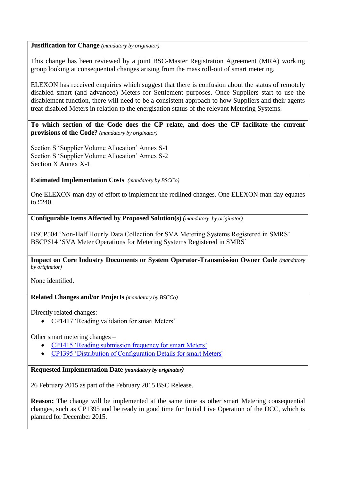## **Justification for Change** *(mandatory by originator)*

This change has been reviewed by a joint BSC-Master Registration Agreement (MRA) working group looking at consequential changes arising from the mass roll-out of smart metering.

ELEXON has received enquiries which suggest that there is confusion about the status of remotely disabled smart (and advanced) Meters for Settlement purposes. Once Suppliers start to use the disablement function, there will need to be a consistent approach to how Suppliers and their agents treat disabled Meters in relation to the energisation status of the relevant Metering Systems.

**To which section of the Code does the CP relate, and does the CP facilitate the current provisions of the Code?** *(mandatory by originator)*

Section S 'Supplier Volume Allocation' Annex S-1 Section S 'Supplier Volume Allocation' Annex S-2 Section X Annex X-1

**Estimated Implementation Costs** *(mandatory by BSCCo)*

One ELEXON man day of effort to implement the redlined changes. One ELEXON man day equates to £240.

**Configurable Items Affected by Proposed Solution(s)** *(mandatory by originator)*

BSCP504 'Non-Half Hourly Data Collection for SVA Metering Systems Registered in SMRS' BSCP514 'SVA Meter Operations for Metering Systems Registered in SMRS'

**Impact on Core Industry Documents or System Operator-Transmission Owner Code** *(mandatory by originator)*

None identified.

**Related Changes and/or Projects** *(mandatory by BSCCo)*

Directly related changes:

• CP1417 'Reading validation for smart Meters'

Other smart metering changes –

- [CP1415 'Reading submission frequency for smart Meters'](http://www.elexon.co.uk/change-proposal/cp1415/)
- [CP1395 'Distribution of Configuration Details for smart Meters'](http://www.elexon.co.uk/change-proposal/cp1395/)

**Requested Implementation Date** *(mandatory by originator)*

26 February 2015 as part of the February 2015 BSC Release.

**Reason:** The change will be implemented at the same time as other smart Metering consequential changes, such as CP1395 and be ready in good time for Initial Live Operation of the DCC, which is planned for December 2015.